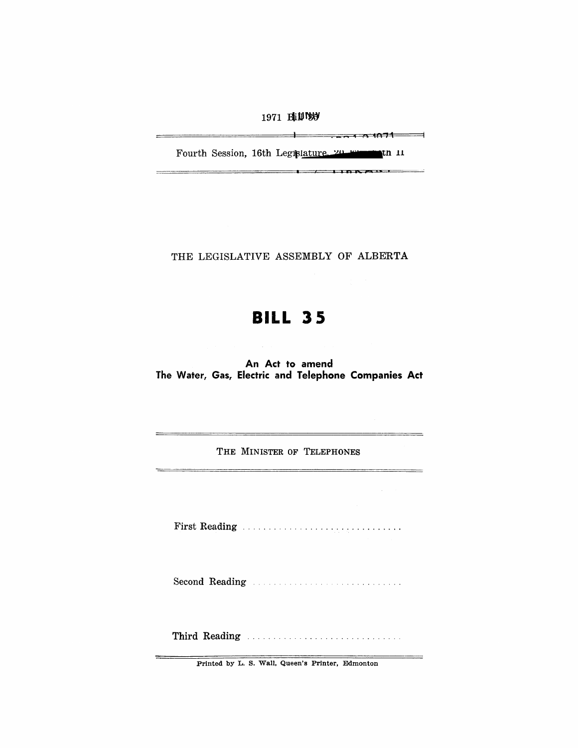1971 BIJIVS

<u>th the term of the second in the second second in the second second in the second second in the second second second in the second second second in the second second second second second second second second second second</u>

\_\_\_\_\_\_\_\_\_\_

Fourth Session, 16th Legislature. 20 Figures in 11

i • **i i** 

THE LEGISLATIVE ASSEMBLY OF ALBERTA

# **BILL 35**

An Act to amend The Water, Gas, Electric and Telephone Companies Act

THE MINISTER OF TELEPHONES

First Reading .............................. .

Second Reading

Third Reading ............................. .

Printed by L. S. Wall, Queen's Printer, Edmonton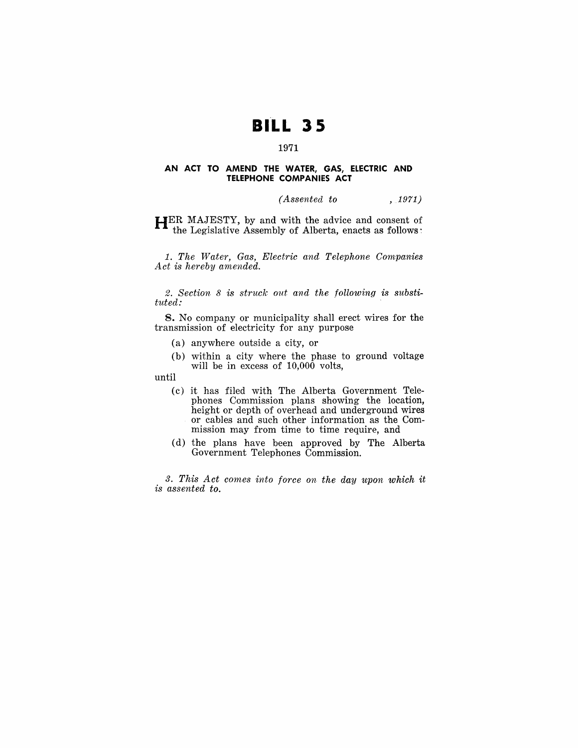## **BILL 35**

## 1971

#### **AN ACT TO AMEND THE WATER, GAS, ELECTRIC AND TELEPHONE COMPANIES ACT**

*(Assented to* ,1971)

HER MAJESTY, by and with the advice and consent of the Legislative Assembly of Alberta, enacts as follows:

1. *The Water, Gas, Electric and Telephone Companies Act is hereby amended.* 

*2. Section* 8 *is struck out and the following is substituted:* 

8. No company or municipality shall erect wires for the transmission of electricity for any purpose

- (a) anywhere outside a city, or
- (b) within a city where the phase to ground voltage will be in excess of 10,000 volts,

until

- (c) it has filed with The Alberta Government Telephones Commission plans showing the location, height or depth of overhead and underground wires or cables and such other information as- the Commission may from time to time require, and
- (d) the plans have been approved by The Alberta Government Telephones Commission.

*3. This Act comes into force on the day upon which it is assented to.*